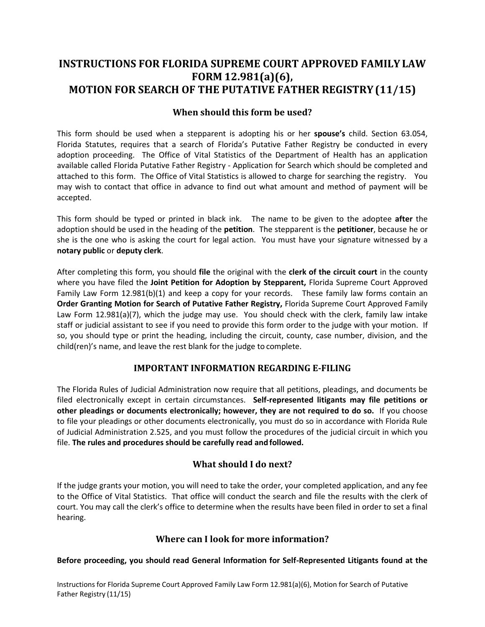## **INSTRUCTIONS FOR FLORIDA SUPREME COURT APPROVED FAMILY LAW FORM 12.981(a)(6), MOTION FOR SEARCH OF THE PUTATIVE FATHER REGISTRY (11/15)**

## **When should this form be used?**

 This form should be used when a stepparent is adopting his or her **spouse's** child. Section 63.054, Florida Statutes, requires that a search of Florida's Putative Father Registry be conducted in every adoption proceeding. The Office of Vital Statistics of the Department of Health has an application available called Florida Putative Father Registry - Application for Search which should be completed and attached to this form. The Office of Vital Statistics is allowed to charge for searching the registry. You may wish to contact that office in advance to find out what amount and method of payment will be accepted.

 This form should be typed or printed in black ink. The name to be given to the adoptee **after** the adoption should be used in the heading of the **petition**. The stepparent is the **petitioner**, because he or she is the one who is asking the court for legal action. You must have your signature witnessed by a  **notary public** or **deputy clerk**.

 After completing this form, you should **file** the original with the **clerk of the circuit court** in the county where you have filed the **Joint Petition for Adoption by Stepparent,** Florida Supreme Court Approved Family Law Form 12.981(b)(1) and keep a copy for your records. These family law forms contain an  **Order Granting Motion for Search of Putative Father Registry,** Florida Supreme Court Approved Family Law Form 12.981(a)(7), which the judge may use. You should check with the clerk, family law intake staff or judicial assistant to see if you need to provide this form order to the judge with your motion. If so, you should type or print the heading, including the circuit, county, case number, division, and the child(ren)'s name, and leave the rest blank for the judge to complete.

### **IMPORTANT INFORMATION REGARDING E-FILING**

 The Florida Rules of Judicial Administration now require that all petitions, pleadings, and documents be filed electronically except in certain circumstances. **Self-represented litigants may file petitions or other pleadings or documents electronically; however, they are not required to do so.** If you choose to file your pleadings or other documents electronically, you must do so in accordance with Florida Rule of Judicial Administration 2.525, and you must follow the procedures of the judicial circuit in which you  file. **The rules and procedures should be carefully read and followed.** 

### **What should I do next?**

If the judge grants your motion, you will need to take the order, your completed application, and any fee to the Office of Vital Statistics. That office will conduct the search and file the results with the clerk of court. You may call the clerk's office to determine when the results have been filed in order to set a final hearing.

### **Where can I look for more information?**

#### **Before proceeding, you should read General Information for Self-Represented Litigants found at the**

 Instructions for Florida Supreme Court Approved Family Law Form 12.981(a)(6), Motion for Search of Putative Father Registry (11/15)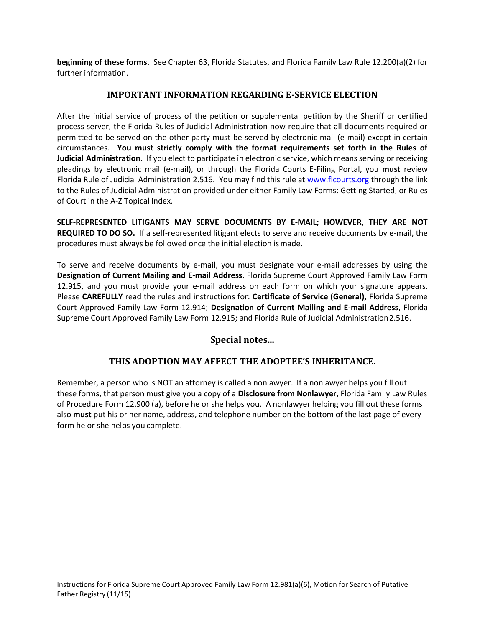**beginning of these forms.** See Chapter 63, Florida Statutes, and Florida Family Law Rule 12.200(a)(2) for further information.

### **IMPORTANT INFORMATION REGARDING E-SERVICE ELECTION**

 After the initial service of process of the petition or supplemental petition by the Sheriff or certified process server, the Florida Rules of Judicial Administration now require that all documents required or permitted to be served on the other party must be served by electronic mail (e-mail) except in certain  circumstances. **You must strictly comply with the format requirements set forth in the Rules of Judicial Administration.** If you elect to participate in electronic service, which means serving or receiving pleadings by electronic mail (e-mail), or through the Florida Courts E-Filing Portal, you **must** review Florida Rule of Judicial Administration 2.516. You may find this rule at [www.flcourts.org](http://www.flcourts.org/) through the link to the Rules of Judicial Administration provided under either Family Law Forms: Getting Started, or Rules of Court in the A-Z Topical Index.

 **SELF-REPRESENTED LITIGANTS MAY SERVE DOCUMENTS BY E-MAIL; HOWEVER, THEY ARE NOT REQUIRED TO DO SO.** If a self-represented litigant elects to serve and receive documents by e-mail, the procedures must always be followed once the initial election is made.

 To serve and receive documents by e-mail, you must designate your e-mail addresses by using the  **Designation of Current Mailing and E-mail Address**, Florida Supreme Court Approved Family Law Form 12.915, and you must provide your e-mail address on each form on which your signature appears. Court Approved Family Law Form 12.914; **Designation of Current Mailing and E-mail Address**, Florida Supreme Court Approved Family Law Form 12.915; and Florida Rule of Judicial Administration2.516. Please **CAREFULLY** read the rules and instructions for: **Certificate of Service (General),** Florida Supreme

### **Special notes...**

### **THIS ADOPTION MAY AFFECT THE ADOPTEE'S INHERITANCE.**

 Remember, a person who is NOT an attorney is called a nonlawyer. If a nonlawyer helps you fill out of Procedure Form 12.900 (a), before he or she helps you. A nonlawyer helping you fill out these forms also **must** put his or her name, address, and telephone number on the bottom of the last page of every these forms, that person must give you a copy of a **Disclosure from Nonlawyer**, Florida Family Law Rules form he or she helps you complete.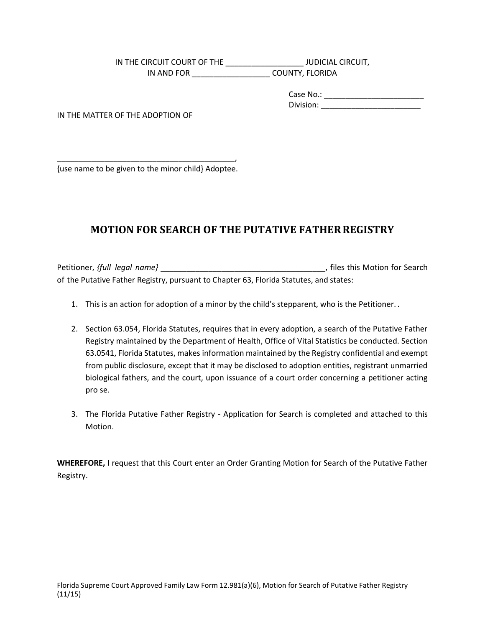IN THE CIRCUIT COURT OF THE \_\_\_\_\_\_\_\_\_\_\_\_\_\_\_\_\_\_ JUDICIAL CIRCUIT, IN AND FOR \_\_\_\_\_\_\_\_\_\_\_\_\_\_\_\_\_\_ COUNTY, FLORIDA

> Case No.: \_\_\_\_\_\_\_\_\_\_\_\_\_\_\_\_\_\_\_\_\_\_\_ Division: \_\_\_\_\_\_\_\_\_\_\_\_\_\_\_\_\_\_\_\_\_\_\_

IN THE MATTER OF THE ADOPTION OF

 {use name to be given to the minor child} Adoptee. \_\_\_\_\_\_\_\_\_\_\_\_\_\_\_\_\_\_\_\_\_\_\_\_\_\_\_\_\_\_\_\_\_\_\_\_\_\_\_\_\_,

# **MOTION FOR SEARCH OF THE PUTATIVE FATHER REGISTRY**

Petitioner, *{full legal name}*  of the Putative Father Registry, pursuant to Chapter 63, Florida Statutes, and states: Petitioner, *{full legal name}* \_\_\_\_\_\_\_\_\_\_\_\_\_\_\_\_\_\_\_\_\_\_\_\_\_\_\_\_\_\_\_\_\_\_\_\_\_\_, files this Motion for Search

- 1. This is an action for adoption of a minor by the child's stepparent, who is the Petitioner. .
- 2. Section 63.054, Florida Statutes, requires that in every adoption, a search of the Putative Father 63.0541, Florida Statutes, makes information maintained by the Registry confidential and exempt biological fathers, and the court, upon issuance of a court order concerning a petitioner acting pro se. Registry maintained by the Department of Health, Office of Vital Statistics be conducted. Section from public disclosure, except that it may be disclosed to adoption entities, registrant unmarried
- 3. The Florida Putative Father Registry Application for Search is completed and attached to this Motion.

 **WHEREFORE,** I request that this Court enter an Order Granting Motion for Search of the Putative Father Registry.